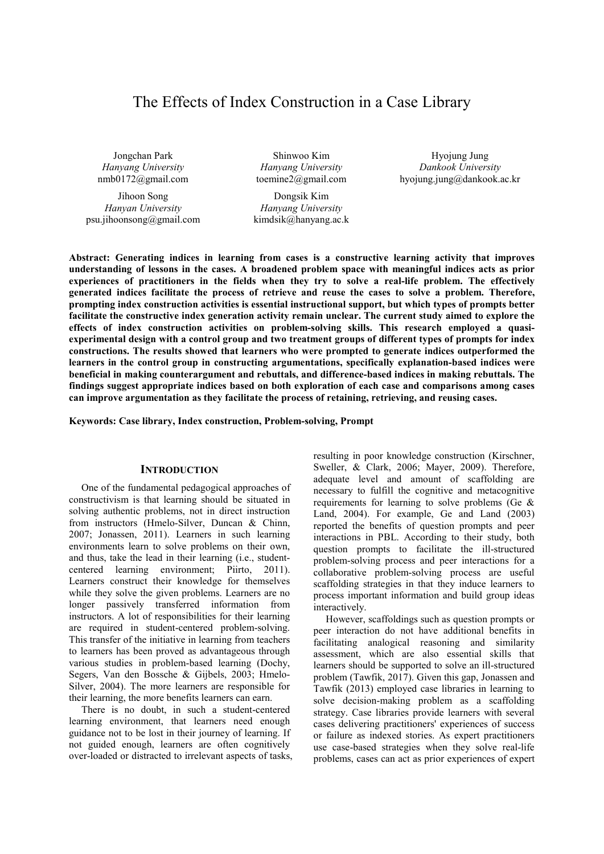# The Effects of Index Construction in a Case Library

Jongchan Park *Hanyang University*  nmb0172@gmail.com

Jihoon Song *Hanyan University*  psu.jihoonsong@gmail.com

Shinwoo Kim *Hanyang University*  toemine2@gmail.com

Dongsik Kim *Hanyang University* kimdsik@hanyang.ac.k

Hyojung Jung *Dankook University* hyojung.jung@dankook.ac.kr

**Abstract: Generating indices in learning from cases is a constructive learning activity that improves understanding of lessons in the cases. A broadened problem space with meaningful indices acts as prior experiences of practitioners in the fields when they try to solve a real-life problem. The effectively generated indices facilitate the process of retrieve and reuse the cases to solve a problem. Therefore, prompting index construction activities is essential instructional support, but which types of prompts better facilitate the constructive index generation activity remain unclear. The current study aimed to explore the effects of index construction activities on problem-solving skills. This research employed a quasiexperimental design with a control group and two treatment groups of different types of prompts for index constructions. The results showed that learners who were prompted to generate indices outperformed the learners in the control group in constructing argumentations, specifically explanation-based indices were beneficial in making counterargument and rebuttals, and difference-based indices in making rebuttals. The findings suggest appropriate indices based on both exploration of each case and comparisons among cases can improve argumentation as they facilitate the process of retaining, retrieving, and reusing cases.** 

**Keywords: Case library, Index construction, Problem-solving, Prompt** 

#### **INTRODUCTION**

One of the fundamental pedagogical approaches of constructivism is that learning should be situated in solving authentic problems, not in direct instruction from instructors (Hmelo-Silver, Duncan & Chinn, 2007; Jonassen, 2011). Learners in such learning environments learn to solve problems on their own, and thus, take the lead in their learning (i.e., studentcentered learning environment; Piirto, 2011). Learners construct their knowledge for themselves while they solve the given problems. Learners are no longer passively transferred information from instructors. A lot of responsibilities for their learning are required in student-centered problem-solving. This transfer of the initiative in learning from teachers to learners has been proved as advantageous through various studies in problem-based learning (Dochy, Segers, Van den Bossche & Gijbels, 2003; Hmelo-Silver, 2004). The more learners are responsible for their learning, the more benefits learners can earn.

There is no doubt, in such a student-centered learning environment, that learners need enough guidance not to be lost in their journey of learning. If not guided enough, learners are often cognitively over-loaded or distracted to irrelevant aspects of tasks, resulting in poor knowledge construction (Kirschner, Sweller, & Clark, 2006; Mayer, 2009). Therefore, adequate level and amount of scaffolding are necessary to fulfill the cognitive and metacognitive requirements for learning to solve problems (Ge & Land, 2004). For example, Ge and Land (2003) reported the benefits of question prompts and peer interactions in PBL. According to their study, both question prompts to facilitate the ill-structured problem-solving process and peer interactions for a collaborative problem-solving process are useful scaffolding strategies in that they induce learners to process important information and build group ideas interactively.

However, scaffoldings such as question prompts or peer interaction do not have additional benefits in facilitating analogical reasoning and similarity assessment, which are also essential skills that learners should be supported to solve an ill-structured problem (Tawfik, 2017). Given this gap, Jonassen and Tawfik (2013) employed case libraries in learning to solve decision-making problem as a scaffolding strategy. Case libraries provide learners with several cases delivering practitioners' experiences of success or failure as indexed stories. As expert practitioners use case-based strategies when they solve real-life problems, cases can act as prior experiences of expert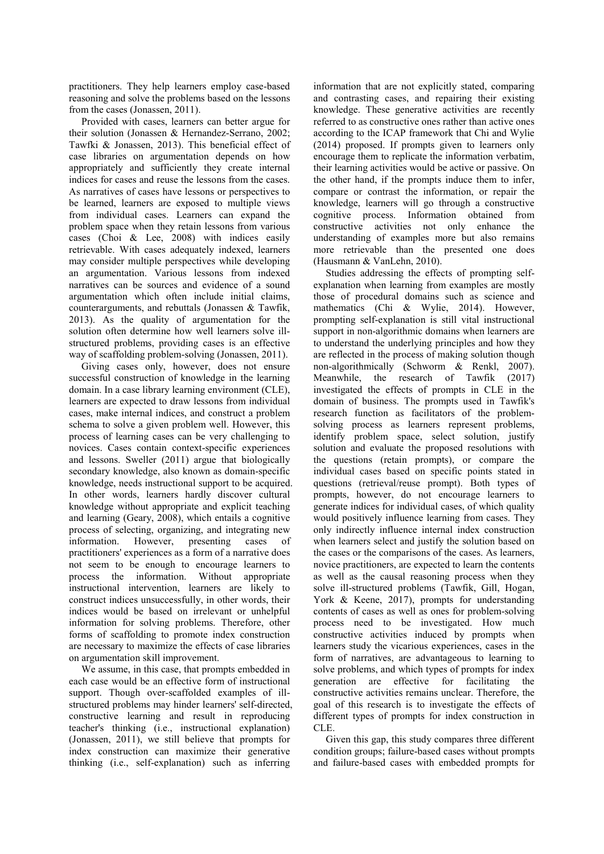practitioners. They help learners employ case-based reasoning and solve the problems based on the lessons from the cases (Jonassen, 2011).

Provided with cases, learners can better argue for their solution (Jonassen & Hernandez-Serrano, 2002; Tawfki & Jonassen, 2013). This beneficial effect of case libraries on argumentation depends on how appropriately and sufficiently they create internal indices for cases and reuse the lessons from the cases. As narratives of cases have lessons or perspectives to be learned, learners are exposed to multiple views from individual cases. Learners can expand the problem space when they retain lessons from various cases (Choi & Lee, 2008) with indices easily retrievable. With cases adequately indexed, learners may consider multiple perspectives while developing an argumentation. Various lessons from indexed narratives can be sources and evidence of a sound argumentation which often include initial claims, counterarguments, and rebuttals (Jonassen & Tawfik, 2013). As the quality of argumentation for the solution often determine how well learners solve illstructured problems, providing cases is an effective way of scaffolding problem-solving (Jonassen, 2011).

Giving cases only, however, does not ensure successful construction of knowledge in the learning domain. In a case library learning environment (CLE), learners are expected to draw lessons from individual cases, make internal indices, and construct a problem schema to solve a given problem well. However, this process of learning cases can be very challenging to novices. Cases contain context-specific experiences and lessons. Sweller (2011) argue that biologically secondary knowledge, also known as domain-specific knowledge, needs instructional support to be acquired. In other words, learners hardly discover cultural knowledge without appropriate and explicit teaching and learning (Geary, 2008), which entails a cognitive process of selecting, organizing, and integrating new information. However, presenting cases of practitioners' experiences as a form of a narrative does not seem to be enough to encourage learners to process the information. Without appropriate instructional intervention, learners are likely to construct indices unsuccessfully, in other words, their indices would be based on irrelevant or unhelpful information for solving problems. Therefore, other forms of scaffolding to promote index construction are necessary to maximize the effects of case libraries on argumentation skill improvement.

We assume, in this case, that prompts embedded in each case would be an effective form of instructional support. Though over-scaffolded examples of illstructured problems may hinder learners' self-directed, constructive learning and result in reproducing teacher's thinking (i.e., instructional explanation) (Jonassen, 2011), we still believe that prompts for index construction can maximize their generative thinking (i.e., self-explanation) such as inferring

information that are not explicitly stated, comparing and contrasting cases, and repairing their existing knowledge. These generative activities are recently referred to as constructive ones rather than active ones according to the ICAP framework that Chi and Wylie (2014) proposed. If prompts given to learners only encourage them to replicate the information verbatim, their learning activities would be active or passive. On the other hand, if the prompts induce them to infer, compare or contrast the information, or repair the knowledge, learners will go through a constructive cognitive process. Information obtained from constructive activities not only enhance the understanding of examples more but also remains more retrievable than the presented one does (Hausmann & VanLehn, 2010).

Studies addressing the effects of prompting selfexplanation when learning from examples are mostly those of procedural domains such as science and mathematics (Chi & Wylie, 2014). However, prompting self-explanation is still vital instructional support in non-algorithmic domains when learners are to understand the underlying principles and how they are reflected in the process of making solution though non-algorithmically (Schworm & Renkl, 2007). Meanwhile, the research of Tawfik (2017) investigated the effects of prompts in CLE in the domain of business. The prompts used in Tawfik's research function as facilitators of the problemsolving process as learners represent problems, identify problem space, select solution, justify solution and evaluate the proposed resolutions with the questions (retain prompts), or compare the individual cases based on specific points stated in questions (retrieval/reuse prompt). Both types of prompts, however, do not encourage learners to generate indices for individual cases, of which quality would positively influence learning from cases. They only indirectly influence internal index construction when learners select and justify the solution based on the cases or the comparisons of the cases. As learners, novice practitioners, are expected to learn the contents as well as the causal reasoning process when they solve ill-structured problems (Tawfik, Gill, Hogan, York & Keene, 2017), prompts for understanding contents of cases as well as ones for problem-solving process need to be investigated. How much constructive activities induced by prompts when learners study the vicarious experiences, cases in the form of narratives, are advantageous to learning to solve problems, and which types of prompts for index generation are effective for facilitating the constructive activities remains unclear. Therefore, the goal of this research is to investigate the effects of different types of prompts for index construction in CLE.

Given this gap, this study compares three different condition groups; failure-based cases without prompts and failure-based cases with embedded prompts for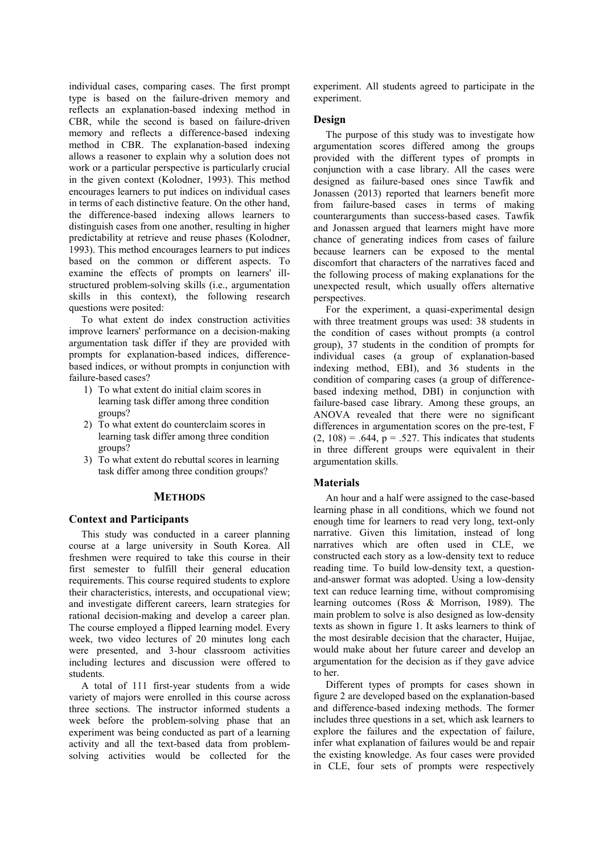individual cases, comparing cases. The first prompt type is based on the failure-driven memory and reflects an explanation-based indexing method in CBR, while the second is based on failure-driven memory and reflects a difference-based indexing method in CBR. The explanation-based indexing allows a reasoner to explain why a solution does not work or a particular perspective is particularly crucial in the given context (Kolodner, 1993). This method encourages learners to put indices on individual cases in terms of each distinctive feature. On the other hand, the difference-based indexing allows learners to distinguish cases from one another, resulting in higher predictability at retrieve and reuse phases (Kolodner, 1993). This method encourages learners to put indices based on the common or different aspects. To examine the effects of prompts on learners' illstructured problem-solving skills (i.e., argumentation skills in this context), the following research questions were posited:

To what extent do index construction activities improve learners' performance on a decision-making argumentation task differ if they are provided with prompts for explanation-based indices, differencebased indices, or without prompts in conjunction with failure-based cases?

- 1) To what extent do initial claim scores in learning task differ among three condition groups?
- 2) To what extent do counterclaim scores in learning task differ among three condition groups?
- 3) To what extent do rebuttal scores in learning task differ among three condition groups?

#### **METHODS**

#### **Context and Participants**

This study was conducted in a career planning course at a large university in South Korea. All freshmen were required to take this course in their first semester to fulfill their general education requirements. This course required students to explore their characteristics, interests, and occupational view; and investigate different careers, learn strategies for rational decision-making and develop a career plan. The course employed a flipped learning model. Every week, two video lectures of 20 minutes long each were presented, and 3-hour classroom activities including lectures and discussion were offered to students.

A total of 111 first-year students from a wide variety of majors were enrolled in this course across three sections. The instructor informed students a week before the problem-solving phase that an experiment was being conducted as part of a learning activity and all the text-based data from problemsolving activities would be collected for the

experiment. All students agreed to participate in the experiment.

## **Design**

The purpose of this study was to investigate how argumentation scores differed among the groups provided with the different types of prompts in conjunction with a case library. All the cases were designed as failure-based ones since Tawfik and Jonassen (2013) reported that learners benefit more from failure-based cases in terms of making counterarguments than success-based cases. Tawfik and Jonassen argued that learners might have more chance of generating indices from cases of failure because learners can be exposed to the mental discomfort that characters of the narratives faced and the following process of making explanations for the unexpected result, which usually offers alternative perspectives.

For the experiment, a quasi-experimental design with three treatment groups was used: 38 students in the condition of cases without prompts (a control group), 37 students in the condition of prompts for individual cases (a group of explanation-based indexing method, EBI), and 36 students in the condition of comparing cases (a group of differencebased indexing method, DBI) in conjunction with failure-based case library. Among these groups, an ANOVA revealed that there were no significant differences in argumentation scores on the pre-test, F  $(2, 108) = .644$ ,  $p = .527$ . This indicates that students in three different groups were equivalent in their argumentation skills.

#### **Materials**

An hour and a half were assigned to the case-based learning phase in all conditions, which we found not enough time for learners to read very long, text-only narrative. Given this limitation, instead of long narratives which are often used in CLE, we constructed each story as a low-density text to reduce reading time. To build low-density text, a questionand-answer format was adopted. Using a low-density text can reduce learning time, without compromising learning outcomes (Ross & Morrison, 1989). The main problem to solve is also designed as low-density texts as shown in figure 1. It asks learners to think of the most desirable decision that the character, Huijae, would make about her future career and develop an argumentation for the decision as if they gave advice to her.

Different types of prompts for cases shown in figure 2 are developed based on the explanation-based and difference-based indexing methods. The former includes three questions in a set, which ask learners to explore the failures and the expectation of failure, infer what explanation of failures would be and repair the existing knowledge. As four cases were provided in CLE, four sets of prompts were respectively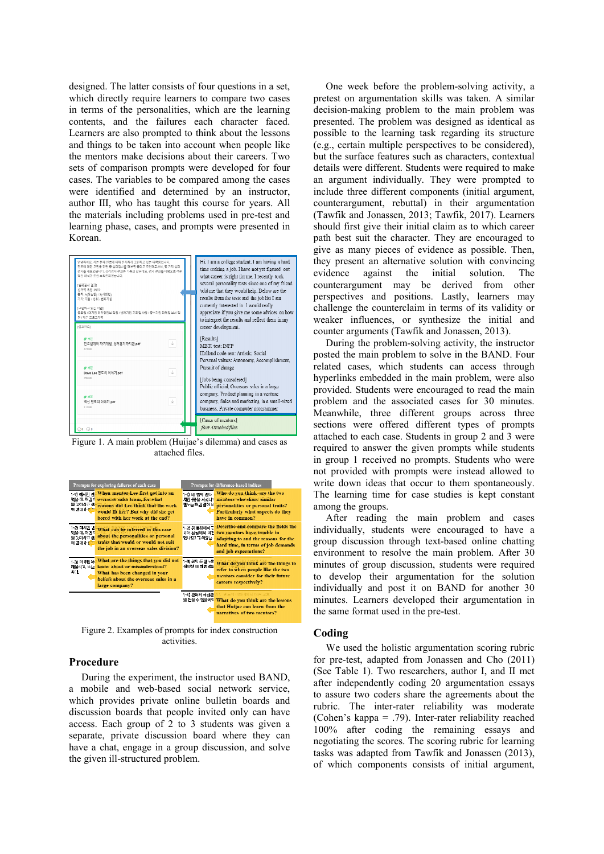designed. The latter consists of four questions in a set, which directly require learners to compare two cases in terms of the personalities, which are the learning contents, and the failures each character faced. Learners are also prompted to think about the lessons and things to be taken into account when people like the mentors make decisions about their careers. Two sets of comparison prompts were developed for four cases. The variables to be compared among the cases were identified and determined by an instructor, author Ⅲ, who has taught this course for years. All the materials including problems used in pre-test and learning phase, cases, and prompts were presented in Korean.



Figure 1. A main problem (Huijae's dilemma) and cases as attached files.



Figure 2. Examples of prompts for index construction activities.

#### **Procedure**

During the experiment, the instructor used BAND, a mobile and web-based social network service, which provides private online bulletin boards and discussion boards that people invited only can have access. Each group of 2 to 3 students was given a separate, private discussion board where they can have a chat, engage in a group discussion, and solve the given ill-structured problem.

One week before the problem-solving activity, a pretest on argumentation skills was taken. A similar decision-making problem to the main problem was presented. The problem was designed as identical as possible to the learning task regarding its structure (e.g., certain multiple perspectives to be considered), but the surface features such as characters, contextual details were different. Students were required to make an argument individually. They were prompted to include three different components (initial argument, counterargument, rebuttal) in their argumentation (Tawfik and Jonassen, 2013; Tawfik, 2017). Learners should first give their initial claim as to which career path best suit the character. They are encouraged to give as many pieces of evidence as possible. Then, they present an alternative solution with convincing evidence against the initial solution. The counterargument may be derived from other perspectives and positions. Lastly, learners may challenge the counterclaim in terms of its validity or weaker influences, or synthesize the initial and counter arguments (Tawfik and Jonassen, 2013).

During the problem-solving activity, the instructor posted the main problem to solve in the BAND. Four related cases, which students can access through hyperlinks embedded in the main problem, were also provided. Students were encouraged to read the main problem and the associated cases for 30 minutes. Meanwhile, three different groups across three sections were offered different types of prompts attached to each case. Students in group 2 and 3 were required to answer the given prompts while students in group 1 received no prompts. Students who were not provided with prompts were instead allowed to write down ideas that occur to them spontaneously. The learning time for case studies is kept constant among the groups.

After reading the main problem and cases individually, students were encouraged to have a group discussion through text-based online chatting environment to resolve the main problem. After 30 minutes of group discussion, students were required to develop their argumentation for the solution individually and post it on BAND for another 30 minutes. Learners developed their argumentation in the same format used in the pre-test.

#### **Coding**

We used the holistic argumentation scoring rubric for pre-test, adapted from Jonassen and Cho (2011) (See Table 1). Two researchers, author Ⅰ, and Ⅱ met after independently coding 20 argumentation essays to assure two coders share the agreements about the rubric. The inter-rater reliability was moderate (Cohen's kappa = .79). Inter-rater reliability reached 100% after coding the remaining essays and negotiating the scores. The scoring rubric for learning tasks was adapted from Tawfik and Jonassen (2013), of which components consists of initial argument,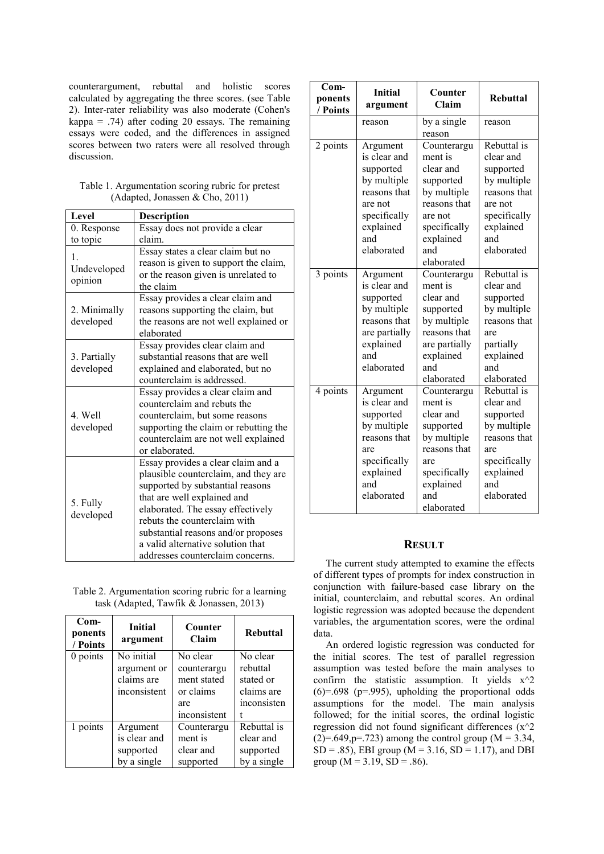counterargument, rebuttal and holistic scores calculated by aggregating the three scores. (see Table 2). Inter-rater reliability was also moderate (Cohen's kappa = .74) after coding 20 essays. The remaining essays were coded, and the differences in assigned scores between two raters were all resolved through discussion.

| Table 1. Argumentation scoring rubric for pretest |  |  |
|---------------------------------------------------|--|--|
| (Adapted, Jonassen & Cho, 2011)                   |  |  |

| Level                  | <b>Description</b>                    |  |  |
|------------------------|---------------------------------------|--|--|
| 0. Response            | Essay does not provide a clear        |  |  |
| to topic               | claim.                                |  |  |
| 1.                     | Essay states a clear claim but no     |  |  |
| Undeveloped<br>opinion | reason is given to support the claim, |  |  |
|                        | or the reason given is unrelated to   |  |  |
|                        | the claim                             |  |  |
|                        | Essay provides a clear claim and      |  |  |
| 2. Minimally           | reasons supporting the claim, but     |  |  |
| developed              | the reasons are not well explained or |  |  |
|                        | elaborated                            |  |  |
|                        | Essay provides clear claim and        |  |  |
| 3. Partially           | substantial reasons that are well     |  |  |
| developed              | explained and elaborated, but no      |  |  |
|                        | counterclaim is addressed.            |  |  |
|                        | Essay provides a clear claim and      |  |  |
|                        | counterclaim and rebuts the           |  |  |
| 4. Well                | counterclaim, but some reasons        |  |  |
| developed              | supporting the claim or rebutting the |  |  |
|                        | counterclaim are not well explained   |  |  |
|                        | or elaborated.                        |  |  |
| 5. Fully<br>developed  | Essay provides a clear claim and a    |  |  |
|                        | plausible counterclaim, and they are  |  |  |
|                        | supported by substantial reasons      |  |  |
|                        | that are well explained and           |  |  |
|                        | elaborated. The essay effectively     |  |  |
|                        | rebuts the counterclaim with          |  |  |
|                        | substantial reasons and/or proposes   |  |  |
|                        | a valid alternative solution that     |  |  |
|                        | addresses counterclaim concerns.      |  |  |

Table 2. Argumentation scoring rubric for a learning task (Adapted, Tawfik & Jonassen, 2013)

| $Com-$<br>ponents<br>/ Points | <b>Initial</b><br>argument                              | Counter<br>Claim                                                           | <b>Rebuttal</b>                                                |
|-------------------------------|---------------------------------------------------------|----------------------------------------------------------------------------|----------------------------------------------------------------|
| 0 points                      | No initial<br>argument or<br>claims are<br>inconsistent | No clear<br>counterargu<br>ment stated<br>or claims<br>are<br>inconsistent | No clear<br>rebuttal<br>stated or<br>claims are<br>inconsisten |
| 1 points                      | Argument<br>is clear and<br>supported<br>by a single    | Counterargu<br>ment is<br>clear and<br>supported                           | Rebuttal is<br>clear and<br>supported<br>by a single           |

| $_{\rm Com-}$<br>ponents<br>/ Points | <b>Initial</b><br>argument                                                                                                        | Counter<br>Claim                                                                                                                             | <b>Rebuttal</b>                                                                                                                   |
|--------------------------------------|-----------------------------------------------------------------------------------------------------------------------------------|----------------------------------------------------------------------------------------------------------------------------------------------|-----------------------------------------------------------------------------------------------------------------------------------|
|                                      | reason                                                                                                                            | by a single<br>reason                                                                                                                        | reason                                                                                                                            |
| 2 points                             | Argument<br>is clear and<br>supported<br>by multiple<br>reasons that<br>are not<br>specifically<br>explained<br>and<br>elaborated | Counterargu<br>ment is<br>clear and<br>supported<br>by multiple<br>reasons that<br>are not<br>specifically<br>explained<br>and<br>elaborated | Rebuttal is<br>clear and<br>supported<br>by multiple<br>reasons that<br>are not<br>specifically<br>explained<br>and<br>elaborated |
| 3 points                             | Argument<br>is clear and<br>supported<br>by multiple<br>reasons that<br>are partially<br>explained<br>and<br>elaborated           | Counterargu<br>ment is<br>clear and<br>supported<br>by multiple<br>reasons that<br>are partially<br>explained<br>and<br>elaborated           | Rebuttal is<br>clear and<br>supported<br>by multiple<br>reasons that<br>are<br>partially<br>explained<br>and<br>elaborated        |
| 4 points                             | Argument<br>is clear and<br>supported<br>by multiple<br>reasons that<br>are<br>specifically<br>explained<br>and<br>elaborated     | Counterargu<br>ment is<br>clear and<br>supported<br>by multiple<br>reasons that<br>are<br>specifically<br>explained<br>and<br>elaborated     | Rebuttal is<br>clear and<br>supported<br>by multiple<br>reasons that<br>are<br>specifically<br>explained<br>and<br>elaborated     |

# **RESULT**

The current study attempted to examine the effects of different types of prompts for index construction in conjunction with failure-based case library on the initial, counterclaim, and rebuttal scores. An ordinal logistic regression was adopted because the dependent variables, the argumentation scores, were the ordinal data.

An ordered logistic regression was conducted for the initial scores. The test of parallel regression assumption was tested before the main analyses to confirm the statistic assumption. It yields  $x^2$  $(6)=.698$  ( $p=.995$ ), upholding the proportional odds assumptions for the model. The main analysis followed; for the initial scores, the ordinal logistic regression did not found significant differences  $(x^2)$  $(2)=.649$ , p=.723) among the control group (M = 3.34,  $SD = .85$ , EBI group (M = 3.16, SD = 1.17), and DBI group ( $M = 3.19$ ,  $SD = .86$ ).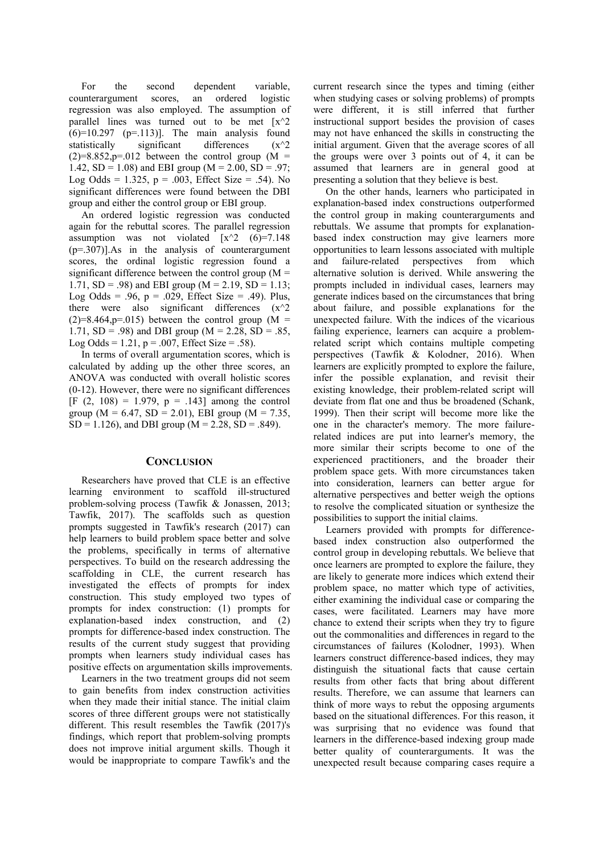For the second dependent variable, counterargument scores, an ordered logistic regression was also employed. The assumption of parallel lines was turned out to be met  $\lceil x^2 \rceil$  $(6)=10.297$  (p=.113)]. The main analysis found statistically significant differences  $(x^2)$  $(2)=8.852$ , p=.012 between the control group  $(M =$ 1.42,  $SD = 1.08$ ) and EBI group (M = 2.00,  $SD = .97$ ; Log Odds =  $1.325$ ,  $p = .003$ , Effect Size = .54). No significant differences were found between the DBI group and either the control group or EBI group.

An ordered logistic regression was conducted again for the rebuttal scores. The parallel regression assumption was not violated  $[x^2 \quad (6)=7.148]$ (p=.307)].As in the analysis of counterargument scores, the ordinal logistic regression found a significant difference between the control group  $(M =$ 1.71,  $SD = .98$ ) and EBI group (M = 2.19,  $SD = 1.13$ ; Log Odds =  $.96$ ,  $p = .029$ , Effect Size =  $.49$ ). Plus, there were also significant differences  $(x^2)$  $(2)=8.464$ , p=.015) between the control group (M = 1.71,  $SD = .98$ ) and DBI group (M = 2.28,  $SD = .85$ , Log Odds =  $1.21$ , p = .007, Effect Size = .58).

In terms of overall argumentation scores, which is calculated by adding up the other three scores, an ANOVA was conducted with overall holistic scores (0-12). However, there were no significant differences [F  $(2, 108) = 1.979$ ,  $p = .143$ ] among the control group ( $M = 6.47$ , SD = 2.01), EBI group ( $M = 7.35$ ,  $SD = 1.126$ , and DBI group (M = 2.28, SD = .849).

### **CONCLUSION**

Researchers have proved that CLE is an effective learning environment to scaffold ill-structured problem-solving process (Tawfik & Jonassen, 2013; Tawfik, 2017). The scaffolds such as question prompts suggested in Tawfik's research (2017) can help learners to build problem space better and solve the problems, specifically in terms of alternative perspectives. To build on the research addressing the scaffolding in CLE, the current research has investigated the effects of prompts for index construction. This study employed two types of prompts for index construction: (1) prompts for explanation-based index construction, and (2) prompts for difference-based index construction. The results of the current study suggest that providing prompts when learners study individual cases has positive effects on argumentation skills improvements.

Learners in the two treatment groups did not seem to gain benefits from index construction activities when they made their initial stance. The initial claim scores of three different groups were not statistically different. This result resembles the Tawfik (2017)'s findings, which report that problem-solving prompts does not improve initial argument skills. Though it would be inappropriate to compare Tawfik's and the

current research since the types and timing (either when studying cases or solving problems) of prompts were different, it is still inferred that further instructional support besides the provision of cases may not have enhanced the skills in constructing the initial argument. Given that the average scores of all the groups were over 3 points out of 4, it can be assumed that learners are in general good at presenting a solution that they believe is best.

On the other hands, learners who participated in explanation-based index constructions outperformed the control group in making counterarguments and rebuttals. We assume that prompts for explanationbased index construction may give learners more opportunities to learn lessons associated with multiple and failure-related perspectives from which alternative solution is derived. While answering the prompts included in individual cases, learners may generate indices based on the circumstances that bring about failure, and possible explanations for the unexpected failure. With the indices of the vicarious failing experience, learners can acquire a problemrelated script which contains multiple competing perspectives (Tawfik & Kolodner, 2016). When learners are explicitly prompted to explore the failure, infer the possible explanation, and revisit their existing knowledge, their problem-related script will deviate from flat one and thus be broadened (Schank, 1999). Then their script will become more like the one in the character's memory. The more failurerelated indices are put into learner's memory, the more similar their scripts become to one of the experienced practitioners, and the broader their problem space gets. With more circumstances taken into consideration, learners can better argue for alternative perspectives and better weigh the options to resolve the complicated situation or synthesize the possibilities to support the initial claims.

Learners provided with prompts for differencebased index construction also outperformed the control group in developing rebuttals. We believe that once learners are prompted to explore the failure, they are likely to generate more indices which extend their problem space, no matter which type of activities, either examining the individual case or comparing the cases, were facilitated. Learners may have more chance to extend their scripts when they try to figure out the commonalities and differences in regard to the circumstances of failures (Kolodner, 1993). When learners construct difference-based indices, they may distinguish the situational facts that cause certain results from other facts that bring about different results. Therefore, we can assume that learners can think of more ways to rebut the opposing arguments based on the situational differences. For this reason, it was surprising that no evidence was found that learners in the difference-based indexing group made better quality of counterarguments. It was the unexpected result because comparing cases require a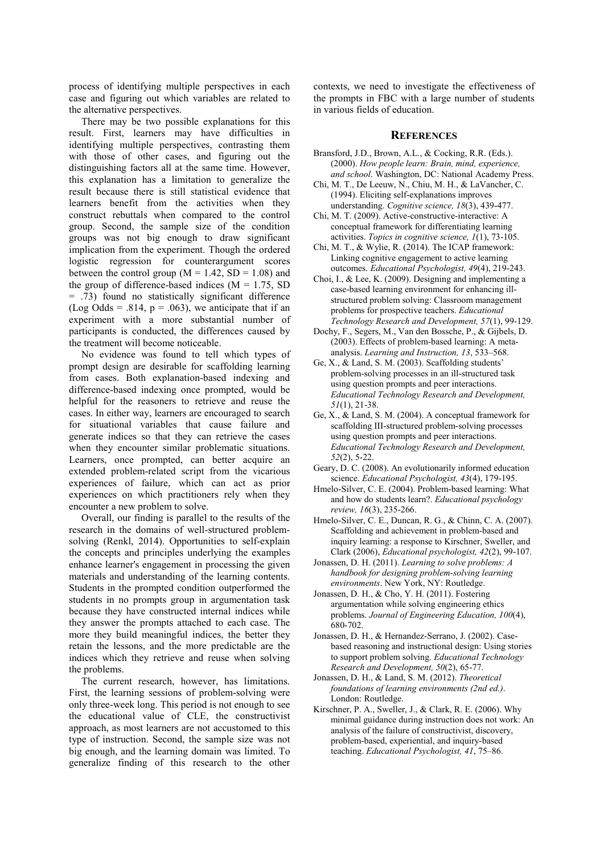process of identifying multiple perspectives in each case and figuring out which variables are related to the alternative perspectives.

There may be two possible explanations for this result. First, learners may have difficulties in identifying multiple perspectives, contrasting them with those of other cases, and figuring out the distinguishing factors all at the same time. However, this explanation has a limitation to generalize the result because there is still statistical evidence that learners benefit from the activities when they construct rebuttals when compared to the control group. Second, the sample size of the condition groups was not big enough to draw significant implication from the experiment. Though the ordered logistic regression for counterargument scores between the control group ( $M = 1.42$ ,  $SD = 1.08$ ) and the group of difference-based indices  $(M = 1.75, SD)$  $= .73$ ) found no statistically significant difference (Log Odds = .814,  $p = .063$ ), we anticipate that if an experiment with a more substantial number of participants is conducted, the differences caused by the treatment will become noticeable.

No evidence was found to tell which types of prompt design are desirable for scaffolding learning from cases. Both explanation-based indexing and difference-based indexing once prompted, would be helpful for the reasoners to retrieve and reuse the cases. In either way, learners are encouraged to search for situational variables that cause failure and generate indices so that they can retrieve the cases when they encounter similar problematic situations. Learners, once prompted, can better acquire an extended problem-related script from the vicarious experiences of failure, which can act as prior experiences on which practitioners rely when they encounter a new problem to solve.

Overall, our finding is parallel to the results of the research in the domains of well-structured problemsolving (Renkl, 2014). Opportunities to self-explain the concepts and principles underlying the examples enhance learner's engagement in processing the given materials and understanding of the learning contents. Students in the prompted condition outperformed the students in no prompts group in argumentation task because they have constructed internal indices while they answer the prompts attached to each case. The more they build meaningful indices, the better they retain the lessons, and the more predictable are the indices which they retrieve and reuse when solving the problems.

The current research, however, has limitations. First, the learning sessions of problem-solving were only three-week long. This period is not enough to see the educational value of CLE, the constructivist approach, as most learners are not accustomed to this type of instruction. Second, the sample size was not big enough, and the learning domain was limited. To generalize finding of this research to the other

contexts, we need to investigate the effectiveness of the prompts in FBC with a large number of students in various fields of education.

#### **REFERENCES**

- Bransford, J.D., Brown, A.L., & Cocking, R.R. (Eds.). (2000). *How people learn: Brain, mind, experience, and school*. Washington, DC: National Academy Press.
- Chi, M. T., De Leeuw, N., Chiu, M. H., & LaVancher, C. (1994). Eliciting self-explanations improves understanding. *Cognitive science, 18*(3), 439-477.
- Chi, M. T. (2009). Active‐constructive‐interactive: A conceptual framework for differentiating learning activities. *Topics in cognitive science, 1*(1), 73-105.
- Chi, M. T., & Wylie, R. (2014). The ICAP framework: Linking cognitive engagement to active learning outcomes. *Educational Psychologist, 49*(4), 219-243.
- Choi, I., & Lee, K. (2009). Designing and implementing a case-based learning environment for enhancing illstructured problem solving: Classroom management problems for prospective teachers. *Educational Technology Research and Development, 57*(1), 99-129.
- Dochy, F., Segers, M., Van den Bossche, P., & Gijbels, D. (2003). Effects of problem-based learning: A metaanalysis. *Learning and Instruction, 13*, 533–568.
- Ge, X., & Land, S. M. (2003). Scaffolding students' problem-solving processes in an ill-structured task using question prompts and peer interactions. *Educational Technology Research and Development, 51*(1), 21-38.
- Ge, X., & Land, S. M. (2004). A conceptual framework for scaffolding III-structured problem-solving processes using question prompts and peer interactions. *Educational Technology Research and Development, 52*(2), 5-22.
- Geary, D. C. (2008). An evolutionarily informed education science. *Educational Psychologist, 43*(4), 179-195.
- Hmelo-Silver, C. E. (2004). Problem-based learning: What and how do students learn?. *Educational psychology review, 16*(3), 235-266.
- Hmelo-Silver, C. E., Duncan, R. G., & Chinn, C. A. (2007). Scaffolding and achievement in problem-based and inquiry learning: a response to Kirschner, Sweller, and Clark (2006), *Educational psychologist, 42*(2), 99-107.
- Jonassen, D. H. (2011). *Learning to solve problems: A handbook for designing problem-solving learning environments*. New York, NY: Routledge.
- Jonassen, D. H., & Cho, Y. H. (2011). Fostering argumentation while solving engineering ethics problems. *Journal of Engineering Education, 100*(4), 680-702.
- Jonassen, D. H., & Hernandez-Serrano, J. (2002). Casebased reasoning and instructional design: Using stories to support problem solving. *Educational Technology Research and Development, 50*(2), 65-77.
- Jonassen, D. H., & Land, S. M. (2012). *Theoretical foundations of learning environments (2nd ed.)*. London: Routledge.
- Kirschner, P. A., Sweller, J., & Clark, R. E. (2006). Why minimal guidance during instruction does not work: An analysis of the failure of constructivist, discovery, problem-based, experiential, and inquiry-based teaching. *Educational Psychologist, 41*, 75–86.